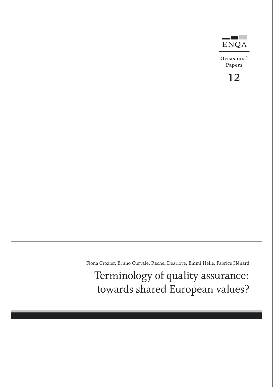

**Occasional Papers**

**12**

Fiona Crozier, Bruno Curvale, Rachel Dearlove, Emmi Helle, Fabrice Hénard

Terminology of quality assurance: towards shared European values?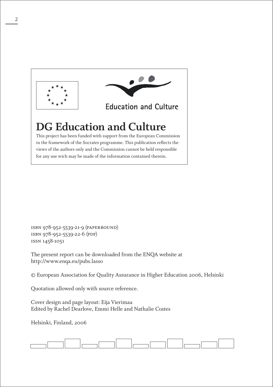

isbn 978-952-5539-21-9 (paperbound) isbn 978-952-5539-22-6 (pdf) issn 1458-1051

The present report can be downloaded from the ENQA website at http://www.enqa.eu/pubs.lasso

© European Association for Quality Assurance in Higher Education 2006, Helsinki

Quotation allowed only with source reference.

Cover design and page layout: Eija Vierimaa Edited by Rachel Dearlove, Emmi Helle and Nathalie Costes

Helsinki, Finland, 2006

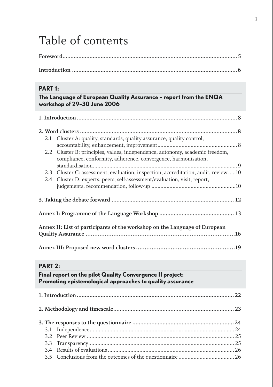# Table of contents

# **PART 1:**

| The Language of European Quality Assurance - report from the ENQA |  |  |
|-------------------------------------------------------------------|--|--|
| workshop of 29-30 June 2006                                       |  |  |

| 2.1 Cluster A: quality, standards, quality assurance, quality control,            |  |
|-----------------------------------------------------------------------------------|--|
|                                                                                   |  |
| 2.2 Cluster B: principles, values, independence, autonomy, academic freedom,      |  |
| compliance, conformity, adherence, convergence, harmonisation,                    |  |
|                                                                                   |  |
| 2.3 Cluster C: assessment, evaluation, inspection, accreditation, audit, review10 |  |
| 2.4 Cluster D: experts, peers, self-assessment/evaluation, visit, report,         |  |
|                                                                                   |  |
|                                                                                   |  |
|                                                                                   |  |
|                                                                                   |  |
|                                                                                   |  |
| Annex II: List of participants of the workshop on the Language of European        |  |
|                                                                                   |  |
|                                                                                   |  |
|                                                                                   |  |

# **PART 2:**

# **Final report on the pilot Quality Convergence II project: Promoting epistemological approaches to quality assurance**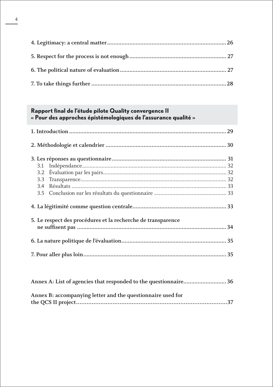### **Rapport final de l'étude pilote Quality convergence II « Pour des approches épistémologiques de l'assurance qualité »**

|  | 5. Le respect des procédures et la recherche de transparence |  |
|--|--------------------------------------------------------------|--|
|  |                                                              |  |
|  |                                                              |  |
|  |                                                              |  |
|  |                                                              |  |

| Annex A: List of agencies that responded to the questionnaire 36 |  |
|------------------------------------------------------------------|--|
| Annex B: accompanying letter and the questionnaire used for      |  |
|                                                                  |  |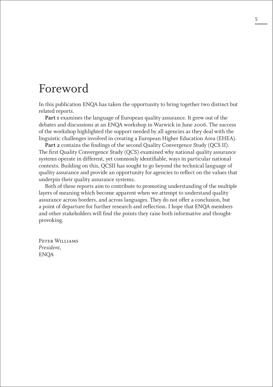# Foreword

In this publication ENQA has taken the opportunity to bring together two distinct but related reports.

**Part 1** examines the language of European quality assurance. It grew out of the debates and discussions at an ENQA workshop in Warwick in June 2006. The success of the workshop highlighted the support needed by all agencies as they deal with the linguistic challenges involved in creating a European Higher Education Area (EHEA).

**Part 2** contains the findings of the second Quality Convergence Study (QCS II). The first Quality Convergence Study (QCS) examined why national quality assurance systems operate in different, yet commonly identifiable, ways in particular national contexts. Building on this, QCSII has sought to go beyond the technical language of quality assurance and provide an opportunity for agencies to reflect on the values that underpin their quality assurance systems.

Both of these reports aim to contribute to promoting understanding of the multiple layers of meaning which become apparent when we attempt to understand quality assurance across borders, and across languages. They do not offer a conclusion, but a point of departure for further research and reflection. I hope that ENQA members and other stakeholders will find the points they raise both informative and thoughtprovoking.

Peter Williams *President,* ENQA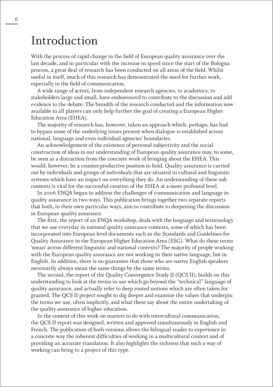# Introduction

With the process of rapid change in the field of European quality assurance over the last decade, and in particular with the increase in speed since the start of the Bologna process, a great deal of research has been conducted on all areas of the field. Whilst useful in itself, much of this research has demonstrated the need for further work, especially in the field of communication.

A wide range of actors, from independent research agencies, to academics, to stakeholders large and small, have endeavoured to contribute to the discussion and add evidence to the debate. The breadth of the research conducted and the information now available to all players can only help further the goal of creating a European Higher Education Area (EHEA).

The majority of research has, however, taken an approach which, perhaps, has had to bypass some of the underlying issues present when dialogue is established across national, language and even individual agencies' boundaries.

An acknowledgement of the existence of personal subjectivity and the social construction of ideas in our understanding of European quality assurance may, to some, be seen as a distraction from the concrete work of bringing about the EHEA. This would, however, be a counter-productive position to hold. Quality assurance is carried out by individuals and groups of individuals that are situated in cultural and linguistic systems which have an impact on everything they do. An understanding of these sub contexts is vital for the successful creation of the EHEA at a more profound level.

In 2006 ENQA began to address the challenges of communication and language in quality assurance in two ways. This publication brings together two separate reports that both, in their own particular ways, aim to contribute to deepening the discussion in European quality assurance.

The first, the report of an ENQA workshop, deals with the language and terminology that we use everyday in national quality assurance contexts, some of which has been incorporated into European level documents such as the Standards and Guidelines for Quality Assurance in the European Higher Education Area (ESG). What do these terms 'mean' across different linguistic and national contexts? The majority of people working with the European quality assurance are not working in their native language, but in English. In addition, there is no guarantee that those who are native English speakers necessarily always mean the same things by the same terms.

The second, the report of the Quality Convergence Study II (QCS II), builds on this understanding to look at the terms in use which go beyond the "technical" language of quality assurance, and actually refer to deep rooted notions which are often taken for granted. The QCS II project sought to dig deeper and examine the values that underpin the terms we use, often implicitly, and what these say about the entire undertaking of the quality assurance of higher education.

In the context of this work on matters to do with intercultural communication, the QCS II report was designed, written and approved simultaneously in English and French. The publication of both versions allows the bilingual reader to experience in a concrete way the inherent difficulties of working in a multicultural context and of providing an accurate translation. It also highlights the richness that such a way of working can bring to a project of this type.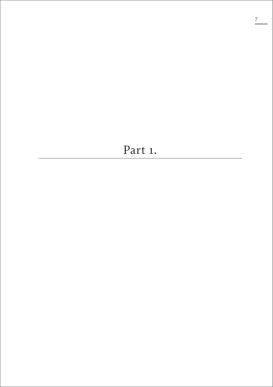# Part 1.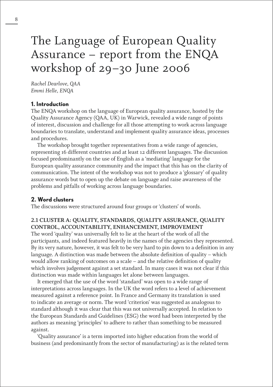# The Language of European Quality Assurance – report from the ENQA workshop of 29–30 June 2006

*Rachel Dearlove, QAA Emmi Helle, ENQA*

### **1. Introduction**

The ENQA workshop on the language of European quality assurance, hosted by the Quality Assurance Agency (QAA, UK) in Warwick, revealed a wide range of points of interest, discussion and challenge for all those attempting to work across language boundaries to translate, understand and implement quality assurance ideas, processes and procedures.

The workshop brought together representatives from a wide range of agencies, representing 16 different countries and at least 12 different languages. The discussion focused predominantly on the use of English as a 'mediating' language for the European quality assurance community and the impact that this has on the clarity of communication. The intent of the workshop was not to produce a 'glossary' of quality assurance words but to open up the debate on language and raise awareness of the problems and pitfalls of working across language boundaries.

## **2. Word clusters**

The discussions were structured around four groups or 'clusters' of words.

## **2.1 CLUSTER A: QUALITY, STANDARDS, QUALITY ASSURANCE, QUALITY CONTROL, ACCOUNTABILITY, ENHANCEMENT, IMPROVEMENT**

The word 'quality' was universally felt to lie at the heart of the work of all the participants, and indeed featured heavily in the names of the agencies they represented. By its very nature, however, it was felt to be very hard to pin down to a definition in any language. A distinction was made between the absolute definition of quality – which would allow ranking of outcomes on a scale – and the relative definition of quality which involves judgement against a set standard. In many cases it was not clear if this distinction was made within languages let alone between languages.

It emerged that the use of the word 'standard' was open to a wide range of interpretations across languages. In the UK the word refers to a level of achievement measured against a reference point. In France and Germany its translation is used to indicate an average or norm. The word 'criterion' was suggested as analogous to standard although it was clear that this was not universally accepted. In relation to the European Standards and Guidelines (ESG) the word had been interpreted by the authors as meaning 'principles' to adhere to rather than something to be measured against.

'Quality assurance' is a term imported into higher education from the world of business (and predominantly from the sector of manufacturing) as is the related term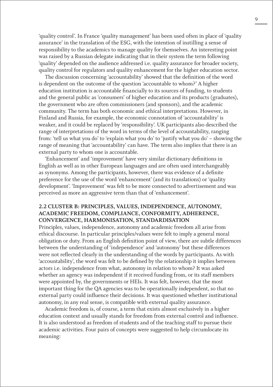'quality control'. In France 'quality management' has been used often in place of 'quality assurance' in the translation of the ESG, with the intention of instilling a sense of responsibility to the academics to manage quality for themselves. An interesting point was raised by a Russian delegate indicating that in their system the term following 'quality' depended on the audience addressed i.e. quality assurance for broader society, quality control for regulators and quality enhancement for the higher education sector.

The discussion concerning 'accountability' showed that the definition of the word is dependent on the outcome of the question 'accountable to whom?' A higher education institution is accountable financially to its sources of funding, to students and the general public as 'consumers' of higher education and its products (graduates), the government who are often commissioners (and sponsors), and the academic community. The term has both economic and ethical interpretations. However, in Finland and Russia, for example, the economic connotation of 'accountability' is weaker, and it could be replaced by 'responsibility'. UK participants also described the range of interpretations of the word in terms of the level of accountability, ranging from: 'tell us what you do' to 'explain what you do' to 'justify what you do' – showing the range of meaning that 'accountability' can have. The term also implies that there is an external party to whom one is accountable.

'Enhancement' and 'improvement' have very similar dictionary definitions in English as well as in other European languages and are often used interchangeably as synonyms. Among the participants, however, there was evidence of a definite preference for the use of the word 'enhancement' (and its translations) or 'quality development'. 'Improvement' was felt to be more connected to advertisement and was perceived as more an aggressive term than that of 'enhancement'.

### **2.2 CLUSTER B: PRINCIPLES, VALUES, INDEPENDENCE, AUTONOMY, ACADEMIC FREEDOM, COMPLIANCE, CONFORMITY, ADHERENCE, CONVERGENCE, HARMONISATION, STANDARDISATION**

Principles, values, independence, autonomy and academic freedom all arise from ethical discourse. In particular principles/values were felt to imply a general moral obligation or duty. From an English definition point of view, there are subtle differences between the understanding of 'independence' and 'autonomy' but these differences were not reflected clearly in the understanding of the words by participants. As with 'accountability', the word was felt to be defined by the relationship it implies between actors i.e. independence from what, autonomy in relation to whom? It was asked whether an agency was independent if it received funding from, or its staff members were appointed by, the governments or HEIs. It was felt, however, that the most important thing for the QA agencies was to be operationally independent, so that no external party could influence their decisions. It was questioned whether institutional autonomy, in any real sense, is compatible with external quality assurance.

Academic freedom is, of course, a term that exists almost exclusively in a higher education context and usually stands for freedom from external control and influence. It is also understood as freedom of students and of the teaching staff to pursue their academic activities. Four pairs of concepts were suggested to help circumlocate its meaning: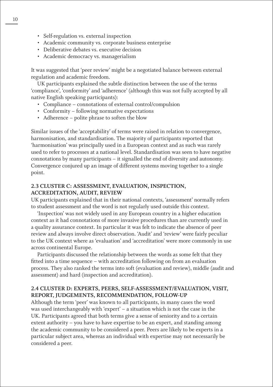- Self-regulation vs. external inspection
- Academic community vs. corporate business enterprise
- Deliberative debates vs. executive decision
- Academic democracy vs. managerialism

It was suggested that 'peer review' might be a negotiated balance between external regulation and academic freedom.

UK participants explained the subtle distinction between the use of the terms 'compliance', 'conformity' and 'adherence' (although this was not fully accepted by all native English speaking participants):

- Compliance connotations of external control/compulsion
- Conformity following normative expectations
- Adherence polite phrase to soften the blow

Similar issues of the 'acceptability' of terms were raised in relation to convergence, harmonisation, and standardisation. The majority of participants reported that 'harmonisation' was principally used in a European context and as such was rarely used to refer to processes at a national level. Standardisation was seen to have negative connotations by many participants – it signalled the end of diversity and autonomy. Convergence conjured up an image of different systems moving together to a single point.

### **2.3 CLUSTER C: ASSESSMENT, EVALUATION, INSPECTION, ACCREDITATION, AUDIT, REVIEW**

UK participants explained that in their national contexts, 'assessment' normally refers to student assessment and the word is not regularly used outside this context.

'Inspection' was not widely used in any European country in a higher education context as it had connotations of more invasive procedures than are currently used in a quality assurance context. In particular it was felt to indicate the absence of peer review and always involve direct observation. 'Audit' and 'review' were fairly peculiar to the UK context where as 'evaluation' and 'accreditation' were more commonly in use across continental Europe.

Participants discussed the relationship between the words as some felt that they fitted into a time sequence – with accreditation following on from an evaluation process. They also ranked the terms into soft (evaluation and review), middle (audit and assessment) and hard (inspection and accreditation).

### **2.4 CLUSTER D: EXPERTS, PEERS, SELF-ASSESSMENT/EVALUATION, VISIT, REPORT, JUDGEMENTS, RECOMMENDATION, FOLLOW-UP**

Although the term 'peer' was known to all participants, in many cases the word was used interchangeably with 'expert' – a situation which is not the case in the UK. Participants agreed that both terms give a sense of seniority and to a certain extent authority – you have to have expertise to be an expert, and standing among the academic community to be considered a peer. Peers are likely to be experts in a particular subject area, whereas an individual with expertise may not necessarily be considered a peer.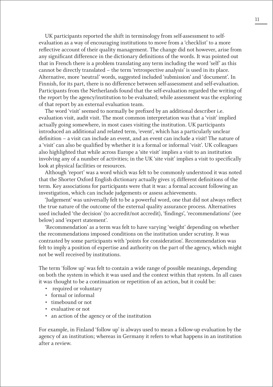UK participants reported the shift in terminology from self-assessment to selfevaluation as a way of encouraging institutions to move from a 'checklist' to a more reflective account of their quality management. The change did not however, arise from any significant difference in the dictionary definitions of the words. It was pointed out that in French there is a problem translating any term including the word 'self' as this cannot be directly translated – the term 'retrospective analysis' is used in its place. Alternative, more 'neutral' words, suggested included 'submission' and 'document'. In Finnish, for its part, there is no difference between self-assessment and self-evaluation. Participants from the Netherlands found that the self-evaluation regarded the writing of the report by the agency/institution to be evaluated; while assessment was the exploring of that report by an external evaluation team.

The word 'visit' seemed to normally be prefixed by an additional describer i.e. evaluation visit, audit visit. The most common interpretation was that a 'visit' implied actually going somewhere, in most cases visiting the institution. UK participants introduced an additional and related term, 'event', which has a particularly unclear definition – a visit can include an event, and an event can include a visit! The nature of a 'visit' can also be qualified by whether it is a formal or informal 'visit'. UK colleagues also highlighted that while across Europe a 'site visit' implies a visit to an institution involving any of a number of activities; in the UK 'site visit' implies a visit to specifically look at physical facilities or resources.

Although 'report' was a word which was felt to be commonly understood it was noted that the Shorter Oxford English dictionary actually gives 15 different definitions of the term. Key associations for participants were that it was: a formal account following an investigation, which can include judgements or assess achievements.

'Judgement' was universally felt to be a powerful word, one that did not always reflect the true nature of the outcome of the external quality assurance process. Alternatives used included 'the decision' (to accredit/not accredit), 'findings', 'recommendations' (see below) and 'expert statement'.

'Recommendation' as a term was felt to have varying 'weight' depending on whether the recommendations imposed conditions on the institution under scrutiny. It was contrasted by some participants with 'points for consideration'. Recommendation was felt to imply a position of expertise and authority on the part of the agency, which might not be well received by institutions.

The term 'follow up' was felt to contain a wide range of possible meanings, depending on both the system in which it was used and the context within that system. In all cases it was thought to be a continuation or repetition of an action, but it could be:

- required or voluntary
- formal or informal
- timebound or not
- evaluative or not
- an action of the agency or of the institution

For example, in Finland 'follow up' is always used to mean a follow-up evaluation by the agency of an institution; whereas in Germany it refers to what happens in an institution after a review.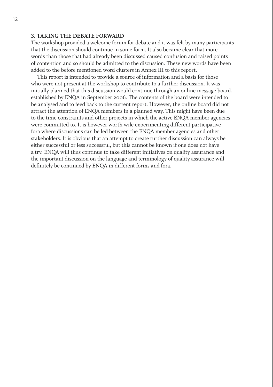### **3. TAKING THE DEBATE FORWARD**

The workshop provided a welcome forum for debate and it was felt by many participants that the discussion should continue in some form. It also became clear that more words than those that had already been discussed caused confusion and raised points of contention and so should be admitted to the discussion. These new words have been added to the before mentioned word clusters in Annex III to this report.

This report is intended to provide a source of information and a basis for those who were not present at the workshop to contribute to a further discussion. It was initially planned that this discussion would continue through an online message board, established by ENQA in September 2006. The contents of the board were intended to be analysed and to feed back to the current report. However, the online board did not attract the attention of ENQA members in a planned way. This might have been due to the time constraints and other projects in which the active ENQA member agencies were committed to. It is however worth wile experimenting different participative fora where discussions can be led between the ENQA member agencies and other stakeholders. It is obvious that an attempt to create further discussion can always be either successful or less successful, but this cannot be known if one does not have a try. ENQA will thus continue to take different initiatives on quality assurance and the important discussion on the language and terminology of quality assurance will definitely be continued by ENQA in different forms and fora.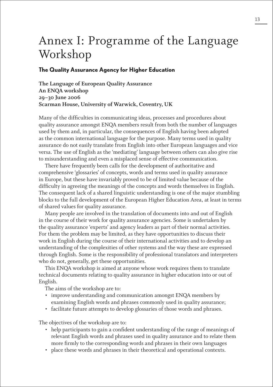# Annex I: Programme of the Language Workshop

#### **The Quality Assurance Agency for Higher Education**

**The Language of European Quality Assurance An ENQA workshop 29–30 June 2006 Scarman House, University of Warwick, Coventry, UK**

Many of the difficulties in communicating ideas, processes and procedures about quality assurance amongst ENQA members result from both the number of languages used by them and, in particular, the consequences of English having been adopted as the common international language for the purpose. Many terms used in quality assurance do not easily translate from English into other European languages and vice versa. The use of English as the 'mediating' language between others can also give rise to misunderstanding and even a misplaced sense of effective communication.

There have frequently been calls for the development of authoritative and comprehensive 'glossaries' of concepts, words and terms used in quality assurance in Europe, but these have invariably proved to be of limited value because of the difficulty in agreeing the meanings of the concepts and words themselves in English. The consequent lack of a shared linguistic understanding is one of the major stumbling blocks to the full development of the European Higher Education Area, at least in terms of shared values for quality assurance.

Many people are involved in the translation of documents into and out of English in the course of their work for quality assurance agencies. Some is undertaken by the quality assurance 'experts' and agency leaders as part of their normal activities. For them the problem may be limited, as they have opportunities to discuss their work in English during the course of their international activities and to develop an understanding of the complexities of other systems and the way these are expressed through English. Some is the responsibility of professional translators and interpreters who do not, generally, get these opportunities.

This ENQA workshop is aimed at anyone whose work requires them to translate technical documents relating to quality assurance in higher education into or out of English.

The aims of the workshop are to:

- improve understanding and communication amongst ENQA members by examining English words and phrases commonly used in quality assurance;
- facilitate future attempts to develop glossaries of those words and phrases.

The objectives of the workshop are to:

- help participants to gain a confident understanding of the range of meanings of relevant English words and phrases used in quality assurance and to relate them more firmly to the corresponding words and phrases in their own languages
- place these words and phrases in their theoretical and operational contexts.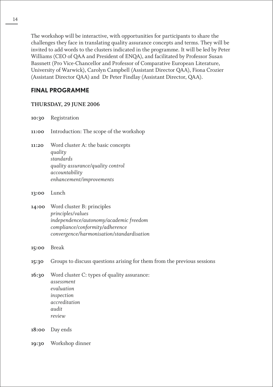The workshop will be interactive, with opportunities for participants to share the challenges they face in translating quality assurance concepts and terms. They will be invited to add words to the clusters indicated in the programme. It will be led by Peter Williams (CEO of QAA and President of ENQA), and facilitated by Professor Susan Bassnett (Pro Vice-Chancellor and Professor of Comparative European Literature, University of Warwick), Carolyn Campbell (Assistant Director QAA), Fiona Crozier (Assistant Director QAA) and Dr Peter Findlay (Assistant Director, QAA).

# **FINAL PROGRAMME**

## **THURSDAY, 29 JUNE 2006**

**10:30** Registration

**11:00** Introduction: The scope of the workshop

- **11:20** Word cluster A: the basic concepts *quality standards quality assurance/quality control accountability enhancement/improvements*
- **13:00** Lunch
- **14:00** Word cluster B: principles *principles/values independence/autonomy/academic freedom compliance/conformity/adherence convergence/harmonisation/standardisation*
- **15:00** Break
- **15:30** Groups to discuss questions arising for them from the previous sessions
- **16:30** Word cluster C: types of quality assurance: *assessment evaluation inspection accreditation audit review*
- **18:00** Day ends
- **19:30** Workshop dinner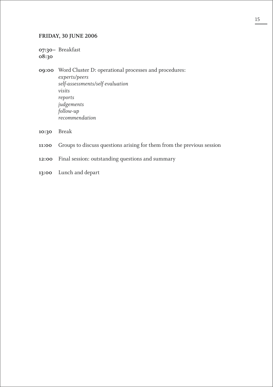### **FRIDAY, 30 JUNE 2006**

**07:30–** Breakfast **08:30**

**09:00** Word Cluster D: operational processes and procedures: *experts/peers self-assessments/self evaluation visits reports judgements follow-up recommendation*

- **10:30** Break
- **11:00** Groups to discuss questions arising for them from the previous session
- **12:00** Final session: outstanding questions and summary
- **13:00** Lunch and depart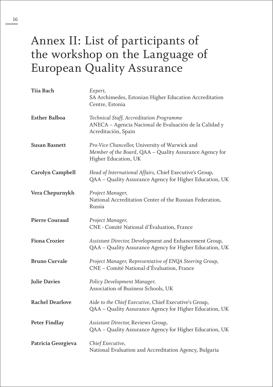# Annex II: List of participants of the workshop on the Language of European Quality Assurance

| Tiia Bach              | Expert,<br>SA Archimedes, Estonian Higher Education Accreditation<br>Centre, Estonia                                              |
|------------------------|-----------------------------------------------------------------------------------------------------------------------------------|
| <b>Esther Balboa</b>   | Technical Staff, Accreditation Programme<br>ANECA - Agencia Nacional de Evaluación de la Calidad y<br>Acreditación, Spain         |
| <b>Susan Basnett</b>   | Pro-Vice Chancellor, University of Warwick and<br>Member of the Board, QAA - Quality Assurance Agency for<br>Higher Education, UK |
| Carolyn Campbell       | Head of International Affairs, Chief Executive's Group,<br>QAA - Quality Assurance Agency for Higher Education, UK                |
| Vera Chepurnykh        | Project Manager,<br>National Accreditation Center of the Russian Federation,<br>Russia                                            |
| <b>Pierre Couraud</b>  | Project Manager,<br>CNE - Comité National d'Évaluation, France                                                                    |
| <b>Fiona Crozier</b>   | Assistant Director, Development and Enhancement Group,<br>QAA - Quality Assurance Agency for Higher Education, UK                 |
| <b>Bruno Curvale</b>   | Project Manager, Representative of ENQA Steering Group,<br>CNE - Comité National d'Évaluation, France                             |
| <b>Julie Davies</b>    | Policy Development Manager,<br>Association of Business Schools, UK                                                                |
| <b>Rachel Dearlove</b> | Aide to the Chief Executive, Chief Executive's Group,<br>QAA - Quality Assurance Agency for Higher Education, UK                  |
| <b>Peter Findlay</b>   | Assistant Director, Reviews Group,<br>QAA - Quality Assurance Agency for Higher Education, UK                                     |
| Patricia Georgieva     | Chief Executive,<br>National Evaluation and Accreditation Agency, Bulgaria                                                        |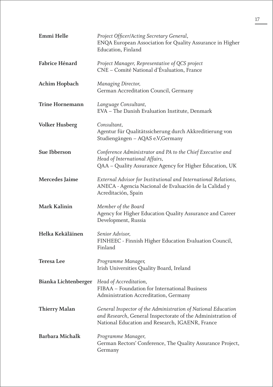| Emmi Helle             | Project Officer/Acting Secretary General,<br>ENQA European Association for Quality Assurance in Higher<br>Education, Finland                                                    |
|------------------------|---------------------------------------------------------------------------------------------------------------------------------------------------------------------------------|
| Fabrice Hénard         | Project Manager, Representative of QCS project<br>CNE - Comité National d'Évaluation, France                                                                                    |
| Achim Hopbach          | Managing Director,<br>German Accreditation Council, Germany                                                                                                                     |
| <b>Trine Hornemann</b> | Language Consultant,<br>EVA - The Danish Evaluation Institute, Denmark                                                                                                          |
| <b>Volker Husberg</b>  | Consultant,<br>Agentur für Qualitätssicherung durch Akkreditierung von<br>Studiengängen - AQAS e.V, Germany                                                                     |
| Sue Ibberson           | Conference Administrator and PA to the Chief Executive and<br>Head of International Affairs,<br>QAA - Quality Assurance Agency for Higher Education, UK                         |
| Mercedes Jaime         | External Advisor for Institutional and International Relations,<br>ANECA - Agencia Nacional de Evaluación de la Calidad y<br>Acreditación, Spain                                |
| Mark Kalinin           | Member of the Board<br>Agency for Higher Education Quality Assurance and Career<br>Development, Russia                                                                          |
| Helka Kekäläinen       | Senior Advisor,<br>FINHEEC - Finnish Higher Education Evaluation Council,<br>Finland                                                                                            |
| <b>Teresa Lee</b>      | Programme Manager,<br>Irish Universities Quality Board, Ireland                                                                                                                 |
| Bianka Lichtenberger   | Head of Accreditation,<br>FIBAA - Foundation for International Business<br>Administration Accreditation, Germany                                                                |
| <b>Thierry Malan</b>   | General Inspector of the Administration of National Education<br>and Research, General Inspectorate of the Administration of<br>National Education and Research, IGAENR, France |
| <b>Barbara Michalk</b> | Programme Manager,<br>German Rectors' Conference, The Quality Assurance Project,<br>Germany                                                                                     |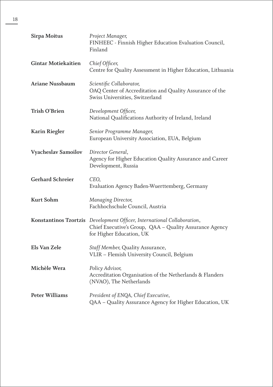| Sirpa Moitus               | Project Manager,<br>FINHEEC - Finnish Higher Education Evaluation Council,<br>Finland                                                                          |
|----------------------------|----------------------------------------------------------------------------------------------------------------------------------------------------------------|
| <b>Gintar Motiekaitien</b> | Chief Officer,<br>Centre for Quality Assessment in Higher Education, Lithuania                                                                                 |
| <b>Ariane Nussbaum</b>     | Scientific Collaborator,<br>OAQ Center of Accreditation and Quality Assurance of the<br>Swiss Universities, Switzerland                                        |
| Trish O'Brien              | Development Officer,<br>National Qualifications Authority of Ireland, Ireland                                                                                  |
| <b>Karin Riegler</b>       | Senior Programme Manager,<br>European University Association, EUA, Belgium                                                                                     |
| Vyacheslav Samoilov        | Director General,<br>Agency for Higher Education Quality Assurance and Career<br>Development, Russia                                                           |
| <b>Gerhard Schreier</b>    | CEO,<br>Evaluation Agency Baden-Wuerttemberg, Germany                                                                                                          |
| Kurt Sohm                  | Managing Director,<br>Fachhochschule Council, Austria                                                                                                          |
|                            | Konstantinos Tzortzis Development Officer, International Collaboration,<br>Chief Executive's Group, QAA - Quality Assurance Agency<br>for Higher Education, UK |
| Els Van Zele               | Staff Member, Quality Assurance,<br>VLIR - Flemish University Council, Belgium                                                                                 |
| Michèle Wera               | Policy Advisor,<br>Accreditation Organisation of the Netherlands & Flanders<br>(NVAO), The Netherlands                                                         |
| <b>Peter Williams</b>      | President of ENQA, Chief Executive,<br>QAA - Quality Assurance Agency for Higher Education, UK                                                                 |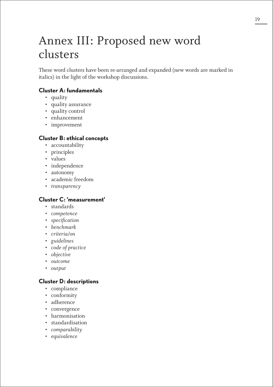# Annex III: Proposed new word clusters

These word clusters have been re-arranged and expanded (new words are marked in italics) in the light of the workshop discussions.

## **Cluster A: fundamentals**

- quality
- quality assurance
- quality control
- enhancement
- improvement

### **Cluster B: ethical concepts**

- accountability
- principles
- values
- independence
- autonomy
- academic freedom
- *transparency*

## **Cluster C: 'measurement'**

- standards
- *competence*
- *specification*
- *benchmark*
- *criteria/on*
- *guidelines*
- *code of practice*
- *objective*
- *outcome*
- *output*

### **Cluster D: descriptions**

- compliance
- conformity
- adherence
- convergence
- harmonisation
- standardisation
- *comparability*
- *equivalence*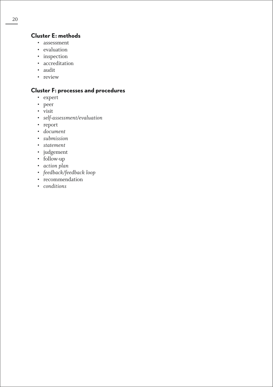# **Cluster E: methods**

- assessment
- evaluation
- inspection
- accreditation
- audit
- review

# **Cluster F: processes and procedures**

- expert
- peer
- visit
- *self-assessment/evaluation*
- report
- *document*
- *submission*
- *statement*
- judgement
- follow-up
- *action plan*
- *feedback/feedback loop*
- recommendation
- *conditions*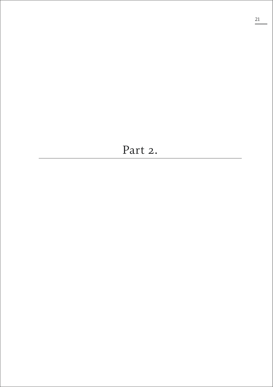# Part 2.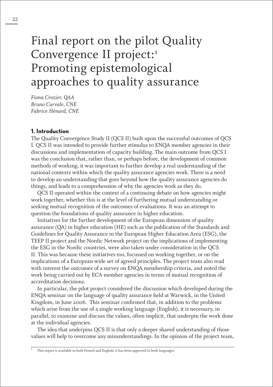# Final report on the pilot Quality Convergence II project:1 Promoting epistemological approaches to quality assurance

*Fiona Crozier, QAA Bruno Curvale, CNE Fabrice Hénard, CNE*

#### **1. Introduction**

The Quality Convergence Study II (QCS II) built upon the successful outcomes of QCS I. QCS II was intended to provide further stimulus to ENQA member agencies in their discussions and implementation of capacity building. The main outcome from QCS I was the conclusion that, rather than, or perhaps before, the development of common methods of working, it was important to further develop a real understanding of the national contexts within which the quality assurance agencies work. There is a need to develop an understanding that goes beyond how the quality assurance agencies do things, and leads to a comprehension of why the agencies work as they do.

QCS II operated within the context of a continuing debate on how agencies might work together, whether this is at the level of furthering mutual understanding or seeking mutual recognition of the outcomes of evaluations. It was an attempt to question the foundations of quality assurance in higher education.

Initiatives for the further development of the European dimension of quality assurance (QA) in higher education (HE) such as the publication of the Standards and Guidelines for Quality Assurance in the European Higher Education Area (ESG), the TEEP II project and the Nordic Network project on the implications of implementing the ESG in the Nordic countries, were also taken under consideration in the QCS II. This was because these initiatives too, focussed on working together, or on the implications of a European-wide set of agreed principles. The project team also read with interest the outcomes of a survey on ENQA membership criteria, and noted the work being carried out by ECA member agencies in terms of mutual recognition of accreditation decisions.

In particular, the pilot project considered the discussion which developed during the ENQA seminar on the language of quality assurance held at Warwick, in the United Kingdom, in June 2006. This seminar confirmed that, in addition to the problems which arise from the use of a single working language (English), it is necessary, in parallel, to examine and discuss the values, often implicit, that underpin the work done at the individual agencies.

The idea that underpins QCS II is that only a deeper shared understanding of those values will help to overcome any misunderstandings. In the opinion of the project team,

This report is available in both French and English; it has been approved in both languages.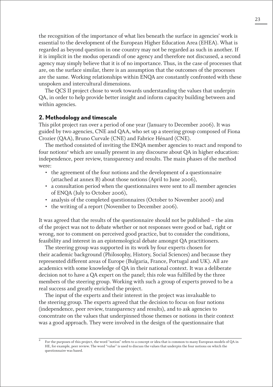the recognition of the importance of what lies beneath the surface in agencies' work is essential to the development of the European Higher Education Area (EHEA). What is regarded as beyond question in one country may not be regarded as such in another. If it is implicit in the modus operandi of one agency and therefore not discussed, a second agency may simply believe that it is of no importance. Thus, in the case of processes that are, on the surface similar, there is an assumption that the outcomes of the processes are the same. Working relationships within ENQA are constantly confronted with these unspoken and intercultural dimensions.

The QCS II project chose to work towards understanding the values that underpin QA, in order to help provide better insight and inform capacity building between and within agencies.

### **2. Methodology and timescale**

This pilot project ran over a period of one year (January to December 2006). It was guided by two agencies, CNE and QAA, who set up a steering group composed of Fiona Crozier (QAA), Bruno Curvale (CNE) and Fabrice Hénard (CNE).

The method consisted of inviting the ENQA member agencies to react and respond to four notions<sup>2</sup> which are usually present in any discourse about QA in higher education: independence, peer review, transparency and results. The main phases of the method were:

- the agreement of the four notions and the development of a questionnaire (attached at annex B) about those notions (April to June 2006),
- a consultation period when the questionnaires were sent to all member agencies of ENQA (July to October 2006),
- analysis of the completed questionnaires (October to November 2006) and
- the writing of a report (November to December 2006).

It was agreed that the results of the questionnaire should not be published – the aim of the project was not to debate whether or not responses were good or bad, right or wrong, nor to comment on perceived good practice, but to consider the conditions, feasibility and interest in an epistemological debate amongst QA practitioners.

The steering group was supported in its work by four experts chosen for their academic background (Philosophy, History, Social Sciences) and because they represented different areas of Europe (Bulgaria, France, Portugal and UK). All are academics with some knowledge of QA in their national context. It was a deliberate decision not to have a QA expert on the panel; this role was fulfilled by the three members of the steering group. Working with such a group of experts proved to be a real success and greatly enriched the project.

The input of the experts and their interest in the project was invaluable to the steering group. The experts agreed that the decision to focus on four notions (independence, peer review, transparency and results), and to ask agencies to concentrate on the values that underpinned those themes or notions in their context was a good approach. They were involved in the design of the questionnaire that

<sup>2</sup> For the purposes of this project, the word "notion" refers to a concept or idea that is common to many European models of QA in HE, for example, peer review. The word "value" is used to discuss the values that underpin the four notions on which the questionnaire was based.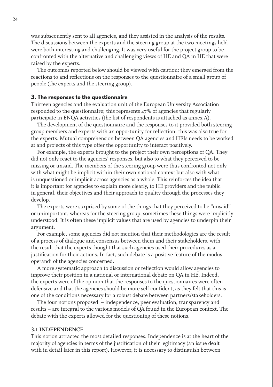was subsequently sent to all agencies, and they assisted in the analysis of the results. The discussions between the experts and the steering group at the two meetings held were both interesting and challenging. It was very useful for the project group to be confronted with the alternative and challenging views of HE and QA in HE that were raised by the experts.

The outcomes reported below should be viewed with caution: they emerged from the reactions to and reflections on the responses to the questionnaire of a small group of people (the experts and the steering group).

#### **3. The responses to the questionnaire**

Thirteen agencies and the evaluation unit of the European University Association responded to the questionnaire; this represents 47% of agencies that regularly participate in ENQA activities (the list of respondents is attached as annex A).

The development of the questionnaire and the responses to it provided both steering group members and experts with an opportunity for reflection: this was also true for the experts. Mutual comprehension between QA agencies and HEIs needs to be worked at and projects of this type offer the opportunity to interact positively.

For example, the experts brought to the project their own perceptions of QA. They did not only react to the agencies' responses, but also to what they perceived to be missing or unsaid. The members of the steering group were thus confronted not only with what might be implicit within their own national context but also with what is unquestioned or implicit across agencies as a whole. This reinforces the idea that it is important for agencies to explain more clearly, to HE providers and the public in general, their objectives and their approach to quality through the processes they develop.

The experts were surprised by some of the things that they perceived to be "unsaid" or unimportant, whereas for the steering group, sometimes these things were implicitly understood. It is often these implicit values that are used by agencies to underpin their argument.

For example, some agencies did not mention that their methodologies are the result of a process of dialogue and consensus between them and their stakeholders, with the result that the experts thought that such agencies used their procedures as a justification for their actions. In fact, such debate is a positive feature of the modus operandi of the agencies concerned.

A more systematic approach to discussion or reflection would allow agencies to improve their position in a national or international debate on QA in HE. Indeed, the experts were of the opinion that the responses to the questionnaires were often defensive and that the agencies should be more self-confident, as they felt that this is one of the conditions necessary for a robust debate between partners/stakeholders.

The four notions proposed – independence, peer evaluation, transparency and results – are integral to the various models of QA found in the European context. The debate with the experts allowed for the questioning of these notions.

#### **3.1 INDEPENDENCE**

This notion attracted the most detailed responses. Independence is at the heart of the majority of agencies in terms of the justification of their legitimacy (an issue dealt with in detail later in this report). However, it is necessary to distinguish between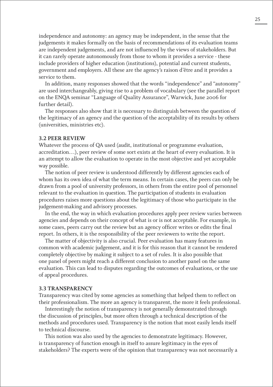independence and autonomy: an agency may be independent, in the sense that the judgements it makes formally on the basis of recommendations of its evaluation teams are independent judgements, and are not influenced by the views of stakeholders. But it can rarely operate autonomously from those to whom it provides a service - these include providers of higher education (institutions), potential and current students, government and employers. All these are the agency's raison d'être and it provides a service to them.

In addition, many responses showed that the words "independence" and "autonomy" are used interchangeably, giving rise to a problem of vocabulary (see the parallel report on the ENQA seminar "Language of Quality Assurance", Warwick, June 2006 for further detail).

The responses also show that it is necessary to distinguish between the question of the legitimacy of an agency and the question of the acceptability of its results by others (universities, ministries etc).

#### **3.2 PEER REVIEW**

Whatever the process of QA used (audit, institutional or programme evaluation, accreditation…), peer review of some sort exists at the heart of every evaluation. It is an attempt to allow the evaluation to operate in the most objective and yet acceptable way possible.

The notion of peer review is understood differently by different agencies each of whom has its own idea of what the term means. In certain cases, the peers can only be drawn from a pool of university professors, in others from the entire pool of personnel relevant to the evaluation in question. The participation of students in evaluation procedures raises more questions about the legitimacy of those who participate in the judgement-making and advisory processes.

In the end, the way in which evaluation procedures apply peer review varies between agencies and depends on their concept of what is or is not acceptable. For example, in some cases, peers carry out the review but an agency officer writes or edits the final report. In others, it is the responsibility of the peer reviewers to write the report.

The matter of objectivity is also crucial. Peer evaluation has many features in common with academic judgement, and it is for this reason that it cannot be rendered completely objective by making it subject to a set of rules. It is also possible that one panel of peers might reach a different conclusion to another panel on the same evaluation. This can lead to disputes regarding the outcomes of evaluations, or the use of appeal procedures.

#### **3.3 TRANSPARENCY**

Transparency was cited by some agencies as something that helped them to reflect on their professionalism. The more an agency is transparent, the more it feels professional.

Interestingly the notion of transparency is not generally demonstrated through the discussion of principles, but more often through a technical description of the methods and procedures used. Transparency is the notion that most easily lends itself to technical discourse.

This notion was also used by the agencies to demonstrate legitimacy. However, is transparency of function enough in itself to assure legitimacy in the eyes of stakeholders? The experts were of the opinion that transparency was not necessarily a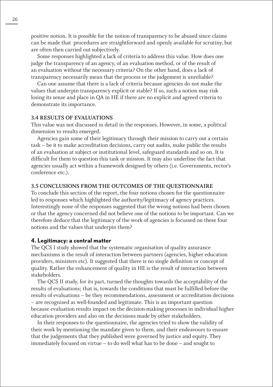positive notion. It is possible for the notion of transparency to be abused since claims can be made that procedures are straightforward and openly available for scrutiny, but are often then carried out subjectively.

Some responses highlighted a lack of criteria to address this value. How does one judge the transparency of an agency, of an evaluation method, or of the result of an evaluation without the necessary criteria? On the other hand, does a lack of transparency necessarily mean that the process or the judgement is unreliable?

Can one assume that there is a lack of criteria because agencies do not make the values that underpin transparency explicit or stable? If so, such a notion may risk losing its sense and place in QA in HE if there are no explicit and agreed criteria to demonstrate its importance.

#### **3.4 RESULTS OF EVALUATIONS**

This value was not discussed in detail in the responses. However, in some, a political dimension to results emerged.

Agencies gain some of their legitimacy through their mission to carry out a certain task – be it to make accreditation decisions, carry out audits, make public the results of an evaluation at subject or institutional level, safeguard standards and so on. It is difficult for them to question this task or mission. It may also underline the fact that agencies usually act within a framework designed by others (i.e. Governments, rector's conference etc.).

#### **3.5 CONCLUSIONS FROM THE OUTCOMES OF THE QUESTIONNAIRE**

To conclude this section of the report, the four notions chosen for the questionnaire led to responses which highlighted the authority/legitimacy of agency practices. Interestingly none of the responses suggested that the wrong notions had been chosen or that the agency concerned did not believe one of the notions to be important. Can we therefore deduce that the legitimacy of the work of agencies is focussed on these four notions and the values that underpin them?

#### **4. Legitimacy: a central matter**

The QCS I study showed that the systematic organisation of quality assurance mechanisms is the result of interaction between partners (agencies, higher education providers, ministers etc). It suggested that there is no single definition or concept of quality. Rather the enhancement of quality in HE is the result of interaction between stakeholders.

The QCS II study, for its part, turned the thoughts towards the acceptability of the results of evaluations; that is, towards the conditions that must be fulfilled before the results of evaluations – be they recommendations, assessment or accreditation decisions – are recognised as well-founded and legitimate. This is an important question because evaluation results impact on the decision-making processes in individual higher education providers and also on the decisions made by other stakeholders.

In their responses to the questionnaire, the agencies tried to show the validity of their work by mentioning the mandate given to them, and their endeavours to ensure that the judgements that they published were governed by justice and equity. They immediately focused on virtue – to do well what has to be done – and sought to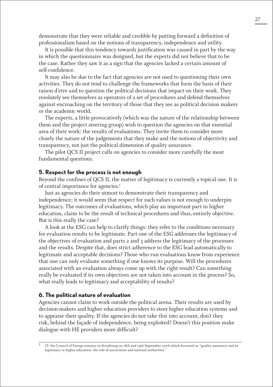demonstrate that they were reliable and credible by putting forward a definition of professionalism based on the notions of transparency, independence and utility.

It is possible that this tendency towards justification was caused in part by the way in which the questionnaire was designed, but the experts did not believe that to be the case. Rather they saw it as a sign that the agencies lacked a certain amount of self-confidence.

It may also be due to the fact that agencies are not used to questioning their own activities. They do not tend to challenge the frameworks that form the basis of their raison d'etre and to question the political decisions that impact on their work. They resolutely see themselves as operators of a set of procedures and defend themselves against encroaching on the territory of those that they see as political decision makers or the academic world.

The experts, a little provocatively (which was the nature of the relationship between them and the project steering group) wish to question the agencies on that essential area of their work: the results of evaluations. They invite them to consider more closely the nature of the judgements that they make and the notions of objectivity and transparency, not just the political dimension of quality assurance.

The pilot QCS II project calls on agencies to consider more carefully the most fundamental questions.

#### **5. Respect for the process is not enough**

Beyond the confines of QCS II, the matter of legitimacy is currently a topical one. It is of central importance for agencies.3

Just as agencies do their utmost to demonstrate their transparency and independence; it would seem that respect for such values is not enough to underpin legitimacy. The outcomes of evaluations, which play an important part in higher education, claim to be the result of technical procedures and thus, entirely objective. But is this really the case?

A look at the ESG can help to clarify things: they refer to the conditions necessary for evaluation results to be legitimate. Part one of the ESG addresses the legitimacy of the objectives of evaluation and parts 2 and 3 address the legitimacy of the processes and the results. Despite that, does strict adherence to the ESG lead automatically to legitimate and acceptable decisions? Those who run evaluations know from experience that one can only evaluate something if one knows its purpose. Will the procedures associated with an evaluation always come up with the right result? Can something really be evaluated if its own objectives are not taken into account in the process? So, what really leads to legitimacy and acceptability of results?

#### **6. The political nature of evaluation**

Agencies cannot claim to work outside the political arena. Their results are used by decision-makers and higher education providers to steer higher education systems and to appraise their quality. If the agencies do not take this into account, don't they risk, behind the façade of independence, being exploited? Doesn't this position make dialogue with HE providers more difficult?

<sup>3</sup> Cf. the Council of Europe seminar in Strasbourg on 18th and 19th September 2006 which focussed on "quality assurance and its legitimacy in higher education: the role of universities and national authorities."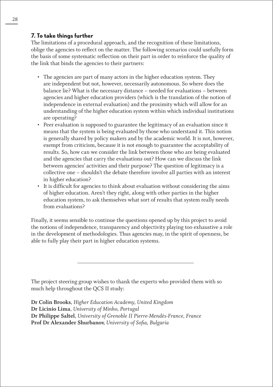# **7. To take things further**

The limitations of a procedural approach, and the recognition of these limitations, oblige the agencies to reflect on the matter. The following scenarios could usefully form the basis of some systematic reflection on their part in order to reinforce the quality of the link that binds the agencies to their partners:

- The agencies are part of many actors in the higher education system. They are independent but not, however, necessarily autonomous. So where does the balance lie? What is the necessary distance – needed for evaluations – between agencies and higher education providers (which is the translation of the notion of independence in external evaluation) and the proximity which will allow for an understanding of the higher education system within which individual institutions are operating?
- Peer evaluation is supposed to guarantee the legitimacy of an evaluation since it means that the system is being evaluated by those who understand it. This notion is generally shared by policy makers and by the academic world. It is not, however, exempt from criticism, because it is not enough to guarantee the acceptability of results. So, how can we consider the link between those who are being evaluated and the agencies that carry the evaluations out? How can we discuss the link between agencies' activities and their purpose? The question of legitimacy is a collective one – shouldn't the debate therefore involve all parties with an interest in higher education?
- It is difficult for agencies to think about evaluation without considering the aims of higher education. Aren't they right, along with other parties in the higher education system, to ask themselves what sort of results that system really needs from evaluations?

Finally, it seems sensible to continue the questions opened up by this project to avoid the notions of independence, transparency and objectivity playing too exhaustive a role in the development of methodologies. Thus agencies may, in the spirit of openness, be able to fully play their part in higher education systems.

The project steering group wishes to thank the experts who provided them with so much help throughout the QCS II study:

**Dr Colin Brooks**, *Higher Education Academy, United Kingdom* **Dr Licinio Lima***, University of Minho, Portugal* **Dr Philippe Saltel**, *University of Grenoble II Pierre-Mendès-France, France* **Prof Dr Alexander Shurbanov**, *University of Sofia, Bulgaria*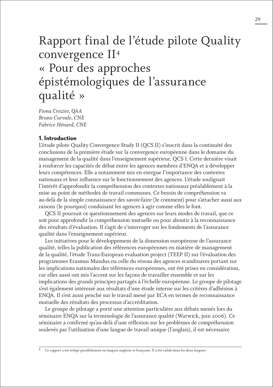# Rapport final de l'étude pilote Quality convergence II4 « Pour des approches épistémologiques de l'assurance qualité »

*Fiona Crozier, QAA Bruno Curvale, CNE Fabrice Hénard, CNE*

## **1. Introduction**

L'étude pilote Quality Convergence Study II (QCS II) s'inscrit dans la continuité des conclusions de la première étude sur la convergence européenne dans le domaine du management de la qualité dans l'enseignement supérieur, QCS I. Cette dernière visait à renforcer les capacités de débat entre les agences membres d'ENQA et à développer leurs compétences. Elle a notamment mis en exergue l'importance des contextes nationaux et leur influence sur le fonctionnement des agences. L'étude soulignait l'intérêt d'approfondir la compréhension des contextes nationaux préalablement à la mise au point de méthodes de travail communes. Ce besoin de compréhension va au-delà de la simple connaissance des savoir-faire (le comment) pour s'attacher aussi aux raisons (le pourquoi) conduisant les agences à agir comme elles le font.

QCS II poursuit ce questionnement des agences sur leurs modes de travail, que ce soit pour approfondir la compréhension mutuelle ou pour aboutir à la reconnaissance des résultats d'évaluation. Il s'agit de s'interroger sur les fondements de l'assurance qualité dans l'enseignement supérieur.

Les initiatives pour le développement de la dimension européenne de l'assurance qualité, telles la publication des références européennes en matière de management de la qualité, l'étude Trans-European evaluation project (TEEP II) sur l'évaluation des programmes Erasmus Mundus ou celle du réseau des agences scandinaves portant sur les implications nationales des références européennes, ont été prises en considération, car elles aussi ont mis l'accent sur les façons de travailler ensemble et sur les implications des grands principes partagés à l'échelle européenne. Le groupe de pilotage s'est également intéressé aux résultats d'une étude interne sur les critères d'adhésion à ENQA. Il s'est aussi penché sur le travail mené par ECA en termes de reconnaissance mutuelle des résultats des processus d'accréditation.

Le groupe de pilotage a porté une attention particulière aux débats menés lors du séminaire ENQA sur la terminologie de l'assurance qualité (Warwick, juin 2006). Ce séminaire a confirmé qu'au-delà d'une réflexion sur les problèmes de compréhension soulevés par l'utilisation d'une langue de travail unique (l'anglais), il est nécessaire

<sup>4</sup> Ce rapport a été rédigé parallèlement en langues anglaise et française. Il a été validé dans les deux langues.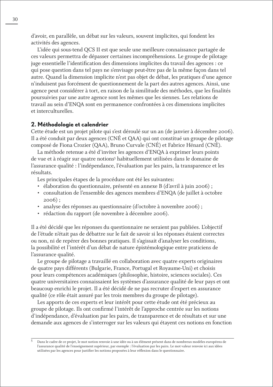d'avoir, en parallèle, un débat sur les valeurs, souvent implicites, qui fondent les activités des agences.

L'idée qui sous-tend QCS II est que seule une meilleure connaissance partagée de ces valeurs permettra de dépasser certaines incompréhensions. Le groupe de pilotage juge essentielle l'identification des dimensions implicites du travail des agences : ce qui pose question dans tel pays ne s'envisage peut-être pas de la même façon dans tel autre. Quand la dimension implicite n'est pas objet de débat, les pratiques d'une agence n'induisent pas forcément de questionnement de la part des autres agences. Ainsi, une agence peut considérer à tort, en raison de la similitude des méthodes, que les finalités poursuivies par une autre agence sont les mêmes que les siennes. Les relations de travail au sein d'ENQA sont en permanence confrontées à ces dimensions implicites et interculturelles.

#### **2. Méthodologie et calendrier**

Cette étude est un projet pilote qui s'est déroulé sur un an (de janvier à décembre 2006). Il a été conduit par deux agences (CNÉ et QAA) qui ont constitué un groupe de pilotage composé de Fiona Crozier (QAA), Bruno Curvale (CNÉ) et Fabrice Hénard (CNÉ).

La méthode retenue a été d'inviter les agences d'ENQA à exprimer leurs points de vue et à réagir sur quatre notions<sup>5</sup> habituellement utilisées dans le domaine de l'assurance qualité : l'indépendance, l'évaluation par les pairs, la transparence et les résultats.

Les principales étapes de la procédure ont été les suivantes:

- élaboration du questionnaire, présenté en annexe B (d'avril à juin 2006) ;
- consultation de l'ensemble des agences membres d'ENQA (de juillet à octobre 2006) ;
- analyse des réponses au questionnaire (d'octobre à novembre 2006) ;
- rédaction du rapport (de novembre à décembre 2006).

Il a été décidé que les réponses du questionnaire ne seraient pas publiées. L'objectif de l'étude n'était pas de débattre sur le fait de savoir si les réponses étaient correctes ou non, ni de repérer des bonnes pratiques. Il s'agissait d'analyser les conditions, la possibilité et l'intérêt d'un débat de nature épistémologique entre praticiens de l'assurance qualité.

Le groupe de pilotage a travaillé en collaboration avec quatre experts originaires de quatre pays différents (Bulgarie, France, Portugal et Royaume-Uni) et choisis pour leurs compétences académiques (philosophie, histoire, sciences sociales). Ces quatre universitaires connaissaient les systèmes d'assurance qualité de leur pays et ont beaucoup enrichi le projet. Il a été décidé de ne pas recruter d'expert en assurance qualité (ce rôle était assuré par les trois membres du groupe de pilotage).

Les apports de ces experts et leur intérêt pour cette étude ont été précieux au groupe de pilotage. Ils ont confirmé l'intérêt de l'approche centrée sur les notions d'indépendance, d'évaluation par les pairs, de transparence et de résultats et sur une demande aux agences de s'interroger sur les valeurs qui étayent ces notions en fonction

<sup>5</sup> Dans le cadre de ce projet, le mot notion renvoie à une idée ou à un élément présent dans de nombreux modèles européens de l'assurance qualité de l'enseignement supérieur, par exemple : l'évaluation par les pairs. Le mot valeur renvoie ici aux idées utilisées par les agences pour justifier les notions proposées à leur réflexion dans le questionnaire.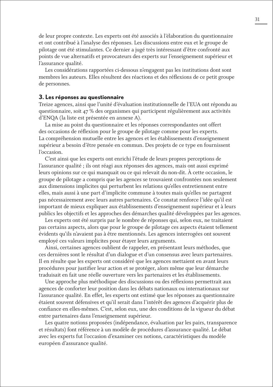de leur propre contexte. Les experts ont été associés à l'élaboration du questionnaire et ont contribué à l'analyse des réponses. Les discussions entre eux et le groupe de pilotage ont été stimulantes. Ce dernier a jugé très intéressant d'être confronté aux points de vue alternatifs et provocateurs des experts sur l'enseignement supérieur et l'assurance qualité.

Les considérations rapportées ci-dessous n'engagent pas les institutions dont sont membres les auteurs. Elles résultent des réactions et des réflexions de ce petit groupe de personnes.

#### **3. Les réponses au questionnaire**

Treize agences, ainsi que l'unité d'évaluation institutionnelle de l'EUA ont répondu au questionnaire, soit 47 % des organismes qui participent régulièrement aux activités d'ENQA (la liste est présentée en annexe A).

La mise au point du questionnaire et les réponses correspondantes ont offert des occasions de réflexion pour le groupe de pilotage comme pour les experts. La compréhension mutuelle entre les agences et les établissements d'enseignement supérieur a besoin d'être pensée en commun. Des projets de ce type en fournissent l'occasion.

C'est ainsi que les experts ont enrichi l'étude de leurs propres perceptions de l'assurance qualité ; ils ont réagi aux réponses des agences, mais ont aussi exprimé leurs opinions sur ce qui manquait ou ce qui relevait du non-dit. À cette occasion, le groupe de pilotage a compris que les agences se trouvaient confrontées non seulement aux dimensions implicites qui perturbent les relations qu'elles entretiennent entre elles, mais aussi à une part d'implicite commune à toutes mais qu'elles ne partagent pas nécessairement avec leurs autres partenaires. Ce constat renforce l'idée qu'il est important de mieux expliquer aux établissements d'enseignement supérieur et à leurs publics les objectifs et les approches des démarches qualité développées par les agences.

Les experts ont été surpris par le nombre de réponses qui, selon eux, ne traitaient pas certains aspects, alors que pour le groupe de pilotage ces aspects étaient tellement évidents qu'ils n'avaient pas à être mentionnés. Les agences interrogées ont souvent employé ces valeurs implicites pour étayer leurs arguments.

Ainsi, certaines agences oublient de rappeler, en présentant leurs méthodes, que ces dernières sont le résultat d'un dialogue et d'un consensus avec leurs partenaires. Il en résulte que les experts ont considéré que les agences mettaient en avant leurs procédures pour justifier leur action et se protéger, alors même que leur démarche traduisait en fait une réelle ouverture vers les partenaires et les établissements.

Une approche plus méthodique des discussions ou des réflexions permettrait aux agences de conforter leur position dans les débats nationaux ou internationaux sur l'assurance qualité. En effet, les experts ont estimé que les réponses au questionnaire étaient souvent défensives et qu'il serait dans l'intérêt des agences d'acquérir plus de confiance en elles-mêmes. C'est, selon eux, une des conditions de la vigueur du débat entre partenaires dans l'enseignement supérieur.

Les quatre notions proposées (indépendance, évaluation par les pairs, transparence et résultats) font référence à un modèle de procédures d'assurance qualité. Le débat avec les experts fut l'occasion d'examiner ces notions, caractéristiques du modèle européen d'assurance qualité.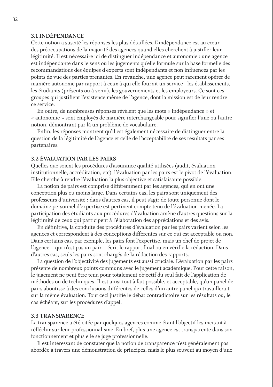### **3.1 INDÉPENDANCE**

Cette notion a suscité les réponses les plus détaillées. L'indépendance est au cœur des préoccupations de la majorité des agences quand elles cherchent à justifier leur légitimité. Il est nécessaire ici de distinguer indépendance et autonomie : une agence est indépendante dans le sens où les jugements qu'elle formule sur la base formelle des recommandations des équipes d'experts sont indépendants et non influencés par les points de vue des parties prenantes. En revanche, une agence peut rarement opérer de manière autonome par rapport à ceux à qui elle fournit un service - les établissements, les étudiants (présents ou à venir), les gouvernements et les employeurs. Ce sont ces groupes qui justifient l'existence même de l'agence, dont la mission est de leur rendre ce service.

En outre, de nombreuses réponses révèlent que les mots « indépendance » et « autonomie » sont employés de manière interchangeable pour signifier l'une ou l'autre notion, démontrant par là un problème de vocabulaire.

Enfin, les réponses montrent qu'il est également nécessaire de distinguer entre la question de la légitimité de l'agence et celle de l'acceptabilité de ses résultats par ses partenaires.

#### **3.2 ÉVALUATION PAR LES PAIRS**

Quelles que soient les procédures d'assurance qualité utilisées (audit, évaluation institutionnelle, accréditation, etc), l'évaluation par les pairs est le pivot de l'évaluation. Elle cherche à rendre l'évaluation la plus objective et satisfaisante possible.

La notion de pairs est comprise différemment par les agences, qui en ont une conception plus ou moins large. Dans certains cas, les pairs sont uniquement des professeurs d'université ; dans d'autres cas, il peut s'agir de toute personne dont le domaine personnel d'expertise est pertinent compte tenu de l'évaluation menée. La participation des étudiants aux procédures d'évaluation amène d'autres questions sur la légitimité de ceux qui participent à l'élaboration des appréciations et des avis.

En définitive, la conduite des procédures d'évaluation par les pairs varient selon les agences et correspondent à des conceptions différentes sur ce qui est acceptable ou non. Dans certains cas, par exemple, les pairs font l'expertise, mais un chef de projet de l'agence – qui n'est pas un pair – écrit le rapport final ou en vérifie la rédaction. Dans d'autres cas, seuls les pairs sont chargés de la rédaction des rapports.

La question de l'objectivité des jugements est aussi cruciale. L'évaluation par les pairs présente de nombreux points communs avec le jugement académique. Pour cette raison, le jugement ne peut être tenu pour totalement objectif du seul fait de l'application de méthodes ou de techniques. Il est ainsi tout à fait possible, et acceptable, qu'un panel de pairs aboutisse à des conclusions différentes de celles d'un autre panel qui travaillerait sur la même évaluation. Tout ceci justifie le débat contradictoire sur les résultats ou, le cas échéant, sur les procédures d'appel.

#### **3.3 TRANSPARENCE**

La transparence a été citée par quelques agences comme étant l'objectif les incitant à réfléchir sur leur professionnalisme. En bref, plus une agence est transparente dans son fonctionnement et plus elle se juge professionnelle.

Il est intéressant de constater que la notion de transparence n'est généralement pas abordée à travers une démonstration de principes, mais le plus souvent au moyen d'une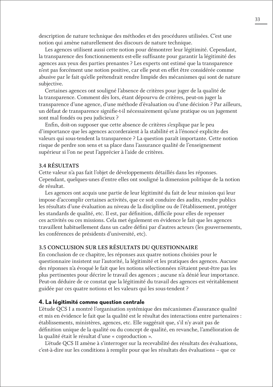description de nature technique des méthodes et des procédures utilisées. C'est une notion qui amène naturellement des discours de nature technique.

Les agences utilisent aussi cette notion pour démontrer leur légitimité. Cependant, la transparence des fonctionnements est-elle suffisante pour garantir la légitimité des agences aux yeux des parties prenantes ? Les experts ont estimé que la transparence n'est pas forcément une notion positive, car elle peut en effet être considérée comme abusive par le fait qu'elle prétendrait rendre limpide des mécanismes qui sont de nature subjective.

Certaines agences ont souligné l'absence de critères pour juger de la qualité de la transparence. Comment dès lors, étant dépourvu de critères, peut-on juger la transparence d'une agence, d'une méthode d'évaluation ou d'une décision ? Par ailleurs, un défaut de transparence signifie-t-il nécessairement qu'une pratique ou un jugement sont mal fondés ou peu judicieux ?

Enfin, doit-on supposer que cette absence de critères s'explique par le peu d'importance que les agences accorderaient à la stabilité et à l'énoncé explicite des valeurs qui sous-tendent la transparence ? La question paraît importante. Cette notion risque de perdre son sens et sa place dans l'assurance qualité de l'enseignement supérieur si l'on ne peut l'apprécier à l'aide de critères.

#### **3.4 RÉSULTATS**

Cette valeur n'a pas fait l'objet de développements détaillés dans les réponses. Cependant, quelques-unes d'entre elles ont souligné la dimension politique de la notion de résultat.

Les agences ont acquis une partie de leur légitimité du fait de leur mission qui leur impose d'accomplir certaines activités, que ce soit conduire des audits, rendre publics les résultats d'une évaluation au niveau de la discipline ou de l'établissement, protéger les standards de qualité, etc. Il est, par définition, difficile pour elles de repenser ces activités ou ces missions. Cela met également en évidence le fait que les agences travaillent habituellement dans un cadre défini par d'autres acteurs (les gouvernements, les conférences de présidents d'université, etc).

#### **3.5 CONCLUSION SUR LES RÉSULTATS DU QUESTIONNAIRE**

En conclusion de ce chapitre, les réponses aux quatre notions choisies pour le questionnaire insistent sur l'autorité, la légitimité et les pratiques des agences. Aucune des réponses n'a évoqué le fait que les notions sélectionnées n'étaient peut-être pas les plus pertinentes pour décrire le travail des agences ; aucune n'a dénié leur importance. Peut-on déduire de ce constat que la légitimité du travail des agences est véritablement guidée par ces quatre notions et les valeurs qui les sous-tendent ?

#### **4. La légitimité comme question centrale**

L'étude QCS I a montré l'organisation systémique des mécanismes d'assurance qualité et mis en évidence le fait que la qualité est le résultat des interactions entre partenaires : établissements, ministères, agences, etc. Elle suggérait que, s'il n'y avait pas de définition unique de la qualité ou du concept de qualité, en revanche, l'amélioration de la qualité était le résultat d'une « coproduction ».

L'étude QCS II amène à s'interroger sur la recevabilité des résultats des évaluations, c'est-à-dire sur les conditions à remplir pour que les résultats des évaluations – que ce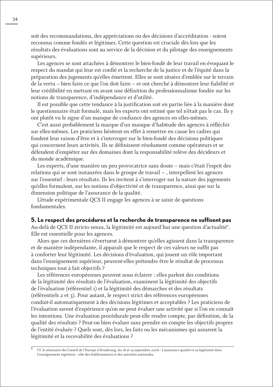soit des recommandations, des appréciations ou des décisions d'accréditation - soient reconnus comme fondés et légitimes. Cette question est cruciale dès lors que les résultats des évaluations sont au service de la décision et du pilotage des enseignements supérieurs.

Les agences se sont attachées à démontrer le bien-fondé de leur travail en évoquant le respect du mandat qui leur est confié et la recherche de la justice et de l'équité dans la préparation des jugements qu'elles émettent. Elles se sont situées d'emblée sur le terrain de la vertu – bien faire ce que l'on doit faire – et ont cherché à démontrer leur fiabilité et leur crédibilité en mettant en avant une définition du professionnalisme fondée sur les notions de transparence, d'indépendance et d'utilité.

Il est possible que cette tendance à la justification soit en partie liée à la manière dont le questionnaire était formulé, mais les experts ont estimé que tel n'était pas le cas. Ils y ont plutôt vu le signe d'un manque de confiance des agences en elles-mêmes.

C'est aussi probablement la marque d'un manque d'habitude des agences à réfléchir sur elles-mêmes. Les praticiens hésitent en effet à remettre en cause les cadres qui fondent leur raison d'être et à s'interroger sur le bien-fondé des décisions politiques qui concernent leurs activités. Ils se définissent résolument comme opérateurs et se défendent d'empiéter sur des domaines dont la responsabilité relève des décideurs et du monde académique.

Les experts, d'une manière un peu provocatrice sans doute – mais c'était l'esprit des relations qui se sont instaurées dans le groupe de travail – , interpellent les agences sur l'essentiel : leurs résultats. Ils les invitent à s'interroger sur la nature des jugements qu'elles formulent, sur les notions d'objectivité et de transparence, ainsi que sur la dimension politique de l'assurance de la qualité.

L'étude expérimentale QCS II engage les agences à se saisir de questions fondamentales.

#### **5. Le respect des procédures et la recherche de transparence ne suffisent pas**

Au-delà de QCS II stricto sensu, la légitimité est aujourd'hui une question d'actualité<sup>6</sup>. Elle est essentielle pour les agences.

Alors que ces dernières s'évertuent à démontrer qu'elles agissent dans la transparence et de manière indépendante, il apparaît que le respect de ces valeurs ne suffit pas à conforter leur légitimité. Les décisions d'évaluation, qui jouent un rôle important dans l'enseignement supérieur, peuvent-elles prétendre être le résultat de processus techniques tout à fait objectifs ?

Les références européennes peuvent nous éclairer : elles parlent des conditions de la légitimité des résultats de l'évaluation, examinent la légitimité des objectifs de l'évaluation (référentiel 1) et la légitimité des démarches et des résultats (référentiels 2 et 3). Pour autant, le respect strict des références européennes conduit-il automatiquement à des décisions légitimes et acceptables ? Les praticiens de l'évaluation savent d'expérience qu'on ne peut évaluer une activité que si l'on en connaît les intentions. Une évaluation procédurale peut-elle rendre compte, par définition, de la qualité des résultats ? Peut-on bien évaluer sans prendre en compte les objectifs propres de l'entité évaluée ? Quels sont, dès lors, les faits ou les mécanismes qui assurent la légitimité et la recevabilité des évaluations ?

<sup>6</sup> Cf. le séminaire du Conseil de l'Europe à Strasbourg, les 18 et 19 septembre 2006 : L'assurance qualité et sa légitimité dans l'enseignement supérieur : rôle des établissements et des autorités nationales.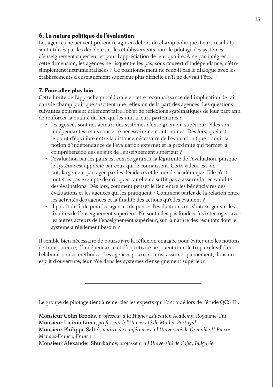## **6. La nature politique de l'évaluation**

Les agences ne peuvent prétendre agir en dehors du champ politique. Leurs résultats sont utilisés par les décideurs et les établissements pour le pilotage des systèmes d'enseignement supérieur et pour l'appréciation de leur qualité. À ne pas intégrer cette dimension, les agences ne risquent-elles pas, sous couvert d'indépendance, d'être simplement instrumentalisées ? Ce positionnement ne rend-il pas le dialogue avec les établissements d'enseignement supérieur plus difficile qu'il ne devrait l'être ?

# **7. Pour aller plus loin**

Cette limite de l'approche procédurale et cette reconnaissance de l'implication de fait dans le champ politique suscitent une réflexion de la part des agences. Les questions suivantes pourraient utilement faire l'objet de réflexions systématiques de leur part afin de renforcer la qualité du lien qui les unit à leurs partenaires :

- les agences sont des acteurs des systèmes d'enseignement supérieur. Elles sont indépendantes, mais sans être nécessairement autonomes. Dès lors, quel est le point d'équilibre entre la distance nécessaire de l'évaluation (que traduit la notion d'indépendance de l'évaluation externe) et la proximité qui permet la compréhension des enjeux de l'enseignement supérieur ?
- l'évaluation par les pairs est censée garantir la légitimité de l'évaluation, puisque le système est apprécié par ceux qui le connaissent. Cette valeur est, de fait, largement partagée par les décideurs et le monde académique. Elle n'est toutefois pas exempte de critiques car elle ne suffit pas à assurer la recevabilité des évaluations. Dès lors, comment penser le lien entre les bénéficiaires des évaluations et les agences qui les pratiquent ? Comment parler de la relation entre les activités des agences et la finalité des actions qu'elles évaluent ?
- il paraît difficile pour les agences de penser l'évaluation sans s'interroger sur les finalités de l'enseignement supérieur. Ne sont-elles pas fondées à s'interroger, avec les autres acteurs de l'enseignement supérieur, sur la nature des résultats dont le système a réellement besoin ?

Il semble bien nécessaire de poursuivre la réflexion engagée pour éviter que les notions de transparence, d'indépendance et d'objectivité ne jouent un rôle trop exclusif dans l'élaboration des méthodes. Les agences pourront ainsi assumer pleinement, dans un esprit d'ouverture, leur rôle dans les systèmes d'enseignement supérieur.

Le groupe de pilotage tient à remercier les experts qui l'ont aidé lors de l'étude QCS II :

**Monsieur Colin Brooks**, *professeur à la Higher Education Academy, Royaume-Uni* **Monsieur Licinio Lima**, *professeur à l'Université de Minho, Portugal* **Monsieur Philippe Saltel**, *maître de conférences à l'Université de Grenoble II Pierre-Mendès-France, France*

**Monsieur Alexander Shurbanov**, *professeur à l'Université de Sofia, Bulgarie*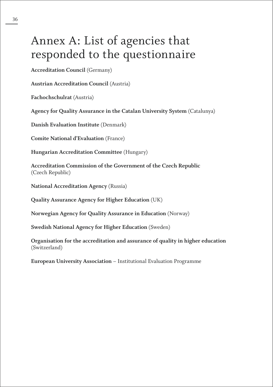# Annex A: List of agencies that responded to the questionnaire

**Accreditation Council** (Germany)

**Austrian Accreditation Council** (Austria)

**Fachochschulrat** (Austria)

**Agency for Quality Assurance in the Catalan University System** (Catalunya)

**Danish Evaluation Institute** (Denmark)

**Comite National d'Evaluation** (France)

**Hungarian Accreditation Committee** (Hungary)

**Accreditation Commission of the Government of the Czech Republic**  (Czech Republic)

**National Accreditation Agency** (Russia)

**Quality Assurance Agency for Higher Education** (UK)

**Norwegian Agency for Quality Assurance in Education** (Norway)

**Swedish National Agency for Higher Education** (Sweden)

**Organisation for the accreditation and assurance of quality in higher education** (Switzerland)

**European University Association** – Institutional Evaluation Programme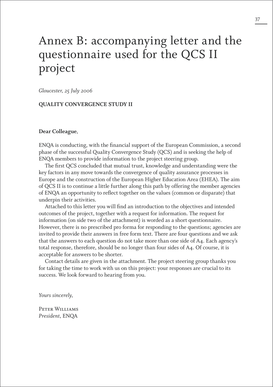# Annex B: accompanying letter and the questionnaire used for the QCS II project

*Gloucester, 25 July 2006*

#### **QUALITY CONVERGENCE STUDY II**

#### **Dear Colleague**,

ENQA is conducting, with the financial support of the European Commission, a second phase of the successful Quality Convergence Study (QCS) and is seeking the help of ENQA members to provide information to the project steering group.

The first QCS concluded that mutual trust, knowledge and understanding were the key factors in any move towards the convergence of quality assurance processes in Europe and the construction of the European Higher Education Area (EHEA). The aim of QCS II is to continue a little further along this path by offering the member agencies of ENQA an opportunity to reflect together on the values (common or disparate) that underpin their activities.

Attached to this letter you will find an introduction to the objectives and intended outcomes of the project, together with a request for information. The request for information (on side two of the attachment) is worded as a short questionnaire. However, there is no prescribed pro forma for responding to the questions; agencies are invited to provide their answers in free form text. There are four questions and we ask that the answers to each question do not take more than one side of A4. Each agency's total response, therefore, should be no longer than four sides of A4. Of course, it is acceptable for answers to be shorter.

Contact details are given in the attachment. The project steering group thanks you for taking the time to work with us on this project: your responses are crucial to its success. We look forward to hearing from you.

*Yours sincerely,*

Peter Williams *President*, ENQA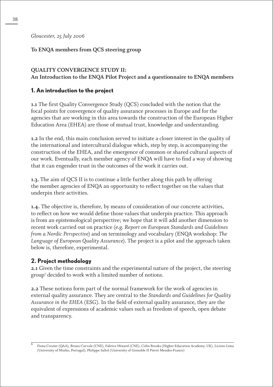*Gloucester, 25 July 2006*

## **To ENQA members from QCS steering group**

### **QUALITY CONVERGENCE STUDY II: An Introduction to the ENQA Pilot Project and a questionnaire to ENQA members**

## **1. An introduction to the project**

**1.1** The first Quality Convergence Study (QCS) concluded with the notion that the focal points for convergence of quality assurance processes in Europe and for the agencies that are working in this area towards the construction of the European Higher Education Area (EHEA) are those of mutual trust, knowledge and understanding.

**1.2** In the end, this main conclusion served to initiate a closer interest in the quality of the international and intercultural dialogue which, step by step, is accompanying the construction of the EHEA, and the emergence of common or shared cultural aspects of our work. Eventually, each member agency of ENQA will have to find a way of showing that it can engender trust in the outcomes of the work it carries out.

**1.3.** The aim of QCS II is to continue a little further along this path by offering the member agencies of ENQA an opportunity to reflect together on the values that underpin their activities.

**1.4.** The objective is, therefore, by means of consideration of our concrete activities, to reflect on how we would define those values that underpin practice. This approach is from an epistemological perspective; we hope that it will add another dimension to recent work carried out on practice (e.g. *Report on European Standards and Guidelines from a Nordic Perspective*) and on terminology and vocabulary (ENQA workshop: *The Language of European Quality Assurance*). The project is a pilot and the approach taken below is, therefore, experimental.

## **2. Project methodology**

**2.1** Given the time constraints and the experimental nature of the project, the steering group7 decided to work with a limited number of notions.

**2.2** These notions form part of the normal framework for the work of agencies in external quality assurance. They are central to the *Standards and Guidelines for Quality Assurance in the EHEA* (ESG). In the field of external quality assurance, they are the equivalent of expressions of academic values such as freedom of speech, open debate and transparency.

<sup>6</sup> Fiona Crozier (QAA), Bruno Curvale (CNE), Fabrice Hénard (CNE), Colin Brooks (Higher Education Academy, UK), Licinio Lima (University of Minho, Portugal), Philippe Saltel (University of Grenoble II Pierre Mendes-France)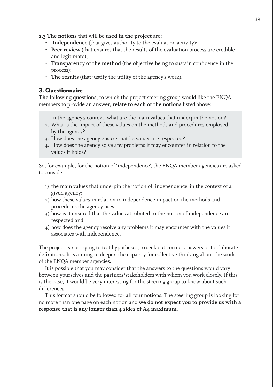**2.3 The notions** that will be **used in the project** are:

- **Independence** (that gives authority to the evaluation activity);
- **Peer review (**that ensures that the results of the evaluation process are credible and legitimate);
- **Transparency of the method** (the objective being to sustain confidence in the process);
- **The results** (that justify the utility of the agency's work).

### **3. Questionnaire**

**The** following **questions**, to which the project steering group would like the ENQA members to provide an answer, **relate to each of the notions** listed above:

- 1. In the agency's context, what are the main values that underpin the notion?
- 2. What is the impact of these values on the methods and procedures employed by the agency?
- 3. How does the agency ensure that its values are respected?
- 4. How does the agency solve any problems it may encounter in relation to the values it holds?

So, for example, for the notion of 'independence', the ENQA member agencies are asked to consider:

- 1) the main values that underpin the notion of 'independence' in the context of a given agency;
- 2) how these values in relation to independence impact on the methods and procedures the agency uses;
- 3) how is it ensured that the values attributed to the notion of independence are respected and
- 4) how does the agency resolve any problems it may encounter with the values it associates with independence.

The project is not trying to test hypotheses, to seek out correct answers or to elaborate definitions. It is aiming to deepen the capacity for collective thinking about the work of the ENQA member agencies.

It is possible that you may consider that the answers to the questions would vary between yourselves and the partners/stakeholders with whom you work closely. If this is the case, it would be very interesting for the steering group to know about such differences.

This format should be followed for all four notions. The steering group is looking for no more than one page on each notion and **we do not expect you to provide us with a response that is any longer than 4 sides of A4 maximum**.